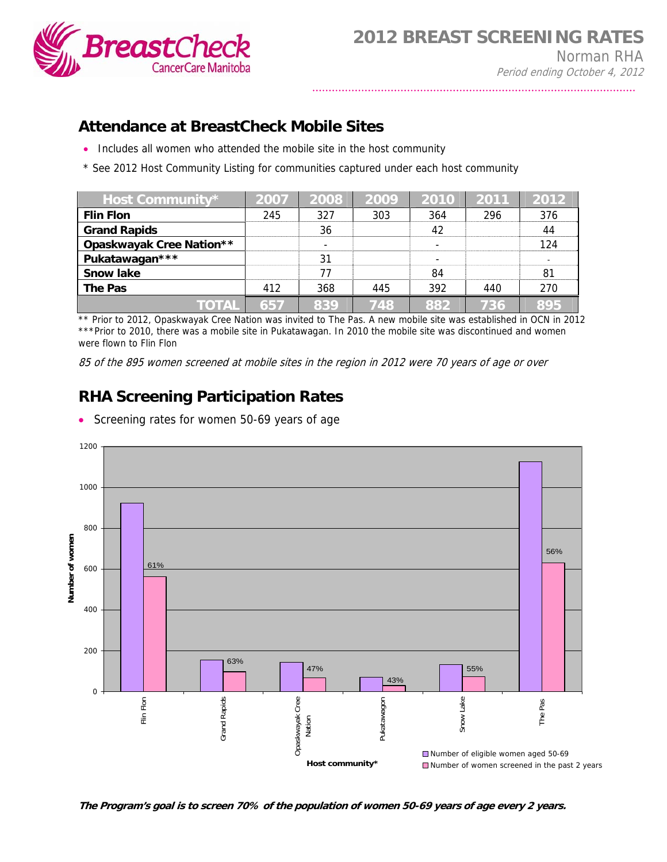

## **Attendance at BreastCheck Mobile Sites**

- Includes all women who attended the mobile site in the host community
- \* See 2012 Host Community Listing for communities captured under each host community

| Host Community*                 | 2007 | 2008 | 2009 | 2010 | 2011 | 2012 |
|---------------------------------|------|------|------|------|------|------|
| <b>Flin Flon</b>                | 245  | 327  | 303  | 364  | 296  | 376  |
| <b>Grand Rapids</b>             |      | 36   |      | 42   |      | 44   |
| <b>Opaskwayak Cree Nation**</b> |      |      |      | ٠    |      | 124  |
| Pukatawagan***                  |      | 31   |      |      |      |      |
| <b>Snow lake</b>                |      | 77   |      | 84   |      | 81   |
| The Pas                         | 412  | 368  | 445  | 392  | 440  | 270  |
| TOTAL                           | 657  | 839  | 748  | 882  | 736  | 895  |

\*\* Prior to 2012, Opaskwayak Cree Nation was invited to The Pas. A new mobile site was established in OCN in 2012 \*\*\*Prior to 2010, there was a mobile site in Pukatawagan. In 2010 the mobile site was discontinued and women were flown to Flin Flon

85 of the 895 women screened at mobile sites in the region in 2012 were 70 years of age or over

## **RHA Screening Participation Rates**

• Screening rates for women 50-69 years of age



**The Program's goal is to screen 70% of the population of women 50-69 years of age every 2 years.**